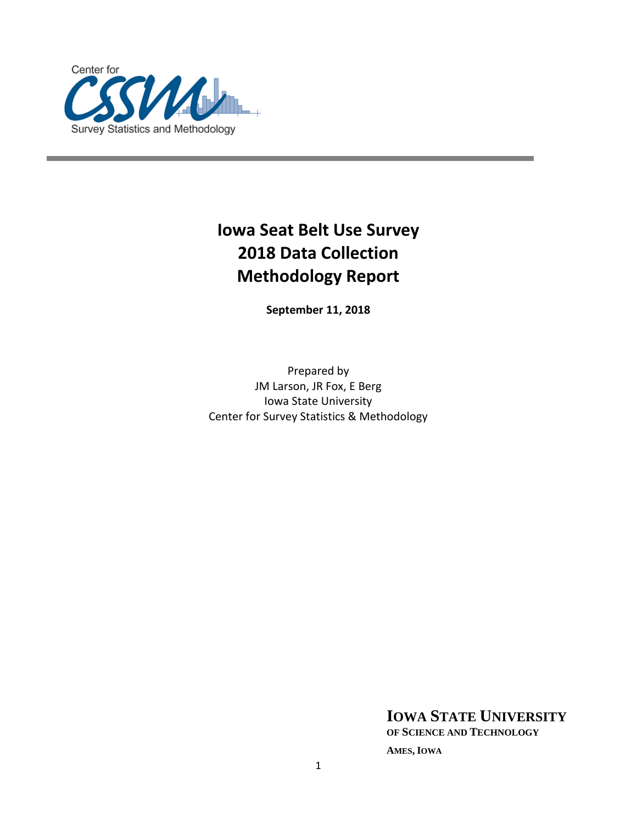

# **Iowa Seat Belt Use Survey 2018 Data Collection Methodology Report**

**September 11, 2018**

Prepared by JM Larson, JR Fox, E Berg Iowa State University Center for Survey Statistics & Methodology

**IOWA STATE UNIVERSITY**

**OF SCIENCE AND TECHNOLOGY**

**AMES, IOWA**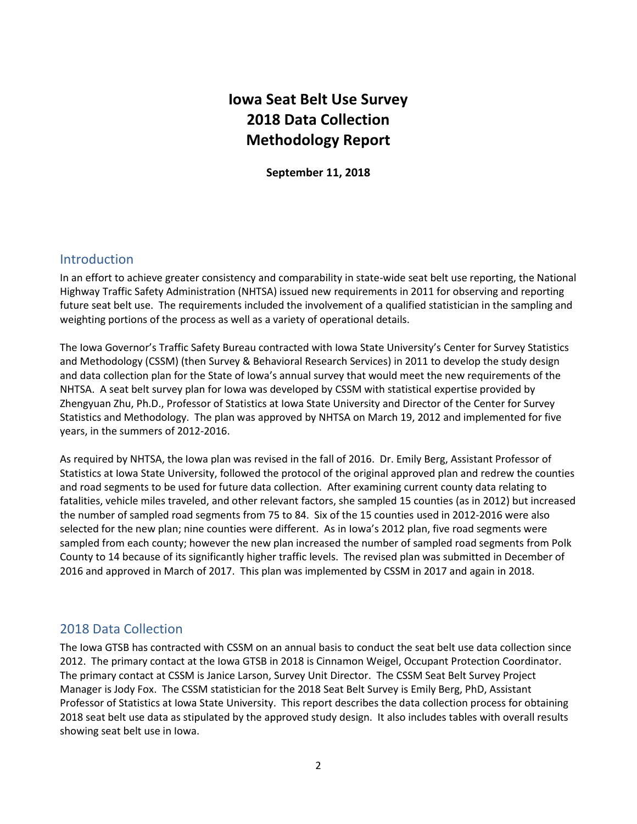# **Iowa Seat Belt Use Survey 2018 Data Collection Methodology Report**

**September 11, 2018**

# Introduction

In an effort to achieve greater consistency and comparability in state-wide seat belt use reporting, the National Highway Traffic Safety Administration (NHTSA) issued new requirements in 2011 for observing and reporting future seat belt use. The requirements included the involvement of a qualified statistician in the sampling and weighting portions of the process as well as a variety of operational details.

The Iowa Governor's Traffic Safety Bureau contracted with Iowa State University's Center for Survey Statistics and Methodology (CSSM) (then Survey & Behavioral Research Services) in 2011 to develop the study design and data collection plan for the State of Iowa's annual survey that would meet the new requirements of the NHTSA. A seat belt survey plan for Iowa was developed by CSSM with statistical expertise provided by Zhengyuan Zhu, Ph.D., Professor of Statistics at Iowa State University and Director of the Center for Survey Statistics and Methodology. The plan was approved by NHTSA on March 19, 2012 and implemented for five years, in the summers of 2012-2016.

As required by NHTSA, the Iowa plan was revised in the fall of 2016. Dr. Emily Berg, Assistant Professor of Statistics at Iowa State University, followed the protocol of the original approved plan and redrew the counties and road segments to be used for future data collection. After examining current county data relating to fatalities, vehicle miles traveled, and other relevant factors, she sampled 15 counties (as in 2012) but increased the number of sampled road segments from 75 to 84. Six of the 15 counties used in 2012-2016 were also selected for the new plan; nine counties were different. As in Iowa's 2012 plan, five road segments were sampled from each county; however the new plan increased the number of sampled road segments from Polk County to 14 because of its significantly higher traffic levels. The revised plan was submitted in December of 2016 and approved in March of 2017. This plan was implemented by CSSM in 2017 and again in 2018.

# 2018 Data Collection

The Iowa GTSB has contracted with CSSM on an annual basis to conduct the seat belt use data collection since 2012. The primary contact at the Iowa GTSB in 2018 is Cinnamon Weigel, Occupant Protection Coordinator. The primary contact at CSSM is Janice Larson, Survey Unit Director. The CSSM Seat Belt Survey Project Manager is Jody Fox. The CSSM statistician for the 2018 Seat Belt Survey is Emily Berg, PhD, Assistant Professor of Statistics at Iowa State University. This report describes the data collection process for obtaining 2018 seat belt use data as stipulated by the approved study design. It also includes tables with overall results showing seat belt use in Iowa.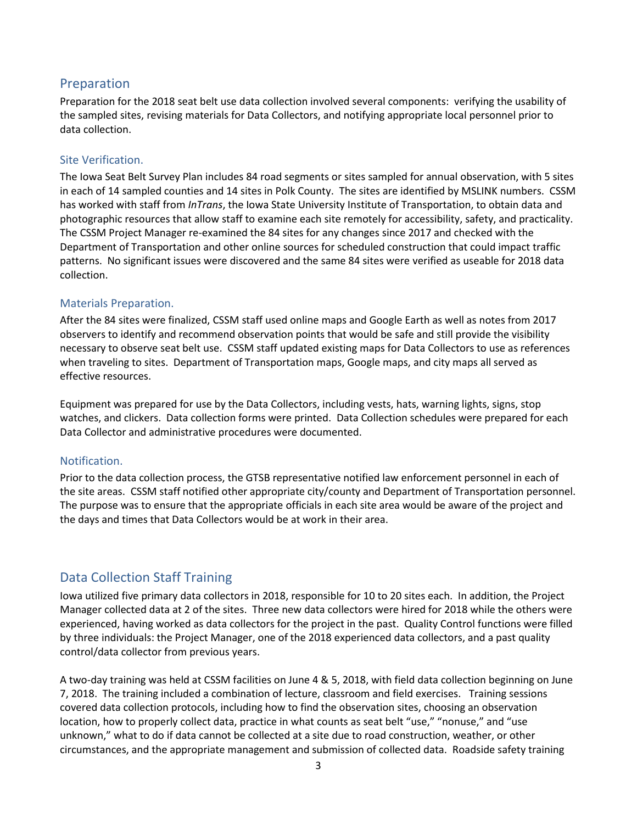# Preparation

Preparation for the 2018 seat belt use data collection involved several components: verifying the usability of the sampled sites, revising materials for Data Collectors, and notifying appropriate local personnel prior to data collection.

# Site Verification.

The Iowa Seat Belt Survey Plan includes 84 road segments or sites sampled for annual observation, with 5 sites in each of 14 sampled counties and 14 sites in Polk County. The sites are identified by MSLINK numbers. CSSM has worked with staff from *InTrans*, the Iowa State University Institute of Transportation, to obtain data and photographic resources that allow staff to examine each site remotely for accessibility, safety, and practicality. The CSSM Project Manager re-examined the 84 sites for any changes since 2017 and checked with the Department of Transportation and other online sources for scheduled construction that could impact traffic patterns. No significant issues were discovered and the same 84 sites were verified as useable for 2018 data collection.

# Materials Preparation.

After the 84 sites were finalized, CSSM staff used online maps and Google Earth as well as notes from 2017 observers to identify and recommend observation points that would be safe and still provide the visibility necessary to observe seat belt use. CSSM staff updated existing maps for Data Collectors to use as references when traveling to sites. Department of Transportation maps, Google maps, and city maps all served as effective resources.

Equipment was prepared for use by the Data Collectors, including vests, hats, warning lights, signs, stop watches, and clickers. Data collection forms were printed. Data Collection schedules were prepared for each Data Collector and administrative procedures were documented.

# Notification.

Prior to the data collection process, the GTSB representative notified law enforcement personnel in each of the site areas. CSSM staff notified other appropriate city/county and Department of Transportation personnel. The purpose was to ensure that the appropriate officials in each site area would be aware of the project and the days and times that Data Collectors would be at work in their area.

# Data Collection Staff Training

Iowa utilized five primary data collectors in 2018, responsible for 10 to 20 sites each. In addition, the Project Manager collected data at 2 of the sites. Three new data collectors were hired for 2018 while the others were experienced, having worked as data collectors for the project in the past. Quality Control functions were filled by three individuals: the Project Manager, one of the 2018 experienced data collectors, and a past quality control/data collector from previous years.

A two-day training was held at CSSM facilities on June 4 & 5, 2018, with field data collection beginning on June 7, 2018. The training included a combination of lecture, classroom and field exercises. Training sessions covered data collection protocols, including how to find the observation sites, choosing an observation location, how to properly collect data, practice in what counts as seat belt "use," "nonuse," and "use unknown," what to do if data cannot be collected at a site due to road construction, weather, or other circumstances, and the appropriate management and submission of collected data. Roadside safety training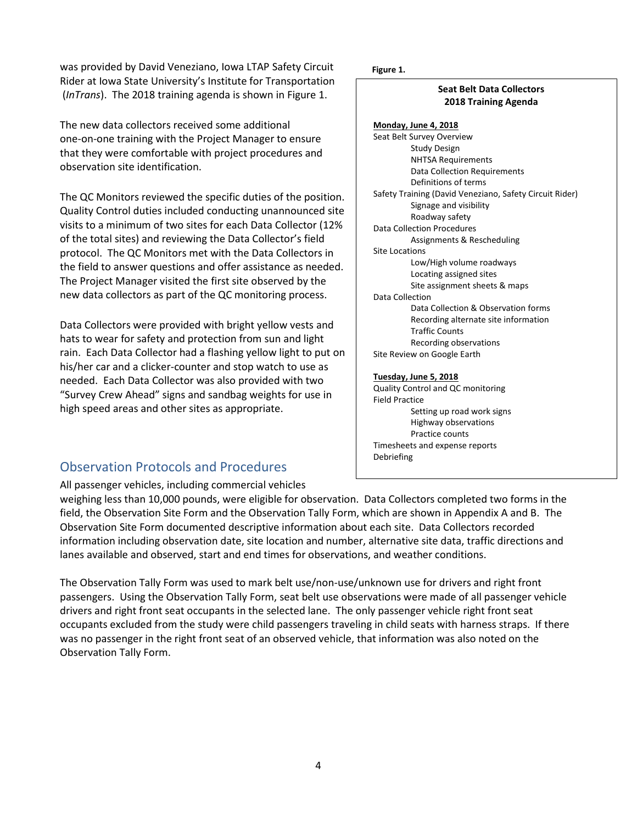was provided by David Veneziano, Iowa LTAP Safety Circuit **Figure 1.** Rider at Iowa State University's Institute for Transportation (*InTrans*). The 2018 training agenda is shown in Figure 1.

The new data collectors received some additional one-on-one training with the Project Manager to ensure that they were comfortable with project procedures and observation site identification.

The QC Monitors reviewed the specific duties of the position. Quality Control duties included conducting unannounced site visits to a minimum of two sites for each Data Collector (12% of the total sites) and reviewing the Data Collector's field protocol. The QC Monitors met with the Data Collectors in the field to answer questions and offer assistance as needed. The Project Manager visited the first site observed by the new data collectors as part of the QC monitoring process.

Data Collectors were provided with bright yellow vests and hats to wear for safety and protection from sun and light rain. Each Data Collector had a flashing yellow light to put on his/her car and a clicker-counter and stop watch to use as needed. Each Data Collector was also provided with two "Survey Crew Ahead" signs and sandbag weights for use in high speed areas and other sites as appropriate.

# Observation Protocols and Procedures

# All passenger vehicles, including commercial vehicles

weighing less than 10,000 pounds, were eligible for observation. Data Collectors completed two forms in the field, the Observation Site Form and the Observation Tally Form, which are shown in Appendix A and B. The Observation Site Form documented descriptive information about each site. Data Collectors recorded information including observation date, site location and number, alternative site data, traffic directions and lanes available and observed, start and end times for observations, and weather conditions.

The Observation Tally Form was used to mark belt use/non-use/unknown use for drivers and right front passengers. Using the Observation Tally Form, seat belt use observations were made of all passenger vehicle drivers and right front seat occupants in the selected lane. The only passenger vehicle right front seat occupants excluded from the study were child passengers traveling in child seats with harness straps. If there was no passenger in the right front seat of an observed vehicle, that information was also noted on the Observation Tally Form.

### **Seat Belt Data Collectors 2018 Training Agenda**

**Monday, June 4, 2018** Seat Belt Survey Overview Study Design NHTSA Requirements Data Collection Requirements Definitions of terms Safety Training (David Veneziano, Safety Circuit Rider) Signage and visibility Roadway safety Data Collection Procedures Assignments & Rescheduling Site Locations Low/High volume roadways Locating assigned sites Site assignment sheets & maps Data Collection Data Collection & Observation forms Recording alternate site information Traffic Counts Recording observations Site Review on Google Earth

#### **Tuesday, June 5, 2018**

Quality Control and QC monitoring Field Practice Setting up road work signs Highway observations Practice counts Timesheets and expense reports Debriefing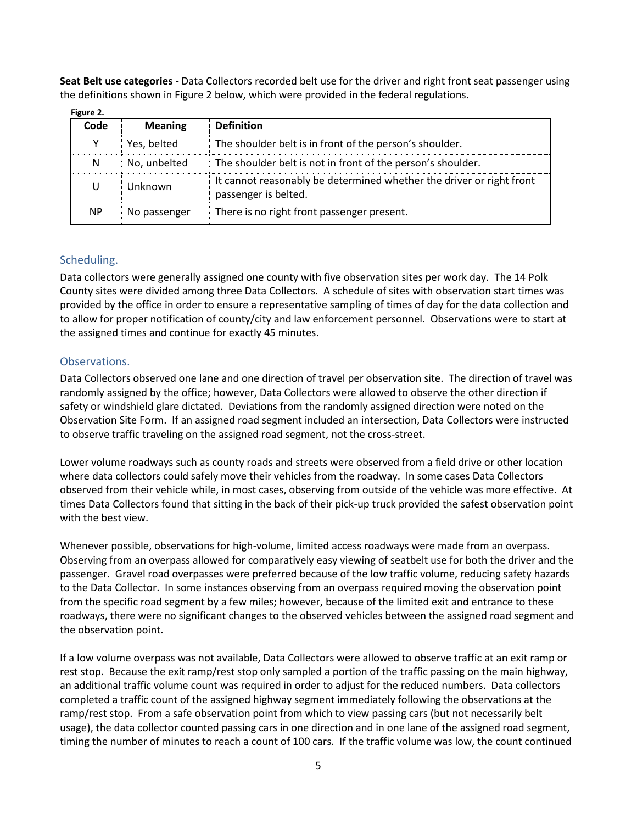**Seat Belt use categories -** Data Collectors recorded belt use for the driver and right front seat passenger using the definitions shown in Figure 2 below, which were provided in the federal regulations.

| rigure 2. |                |                                                                                              |
|-----------|----------------|----------------------------------------------------------------------------------------------|
| Code      | <b>Meaning</b> | <b>Definition</b>                                                                            |
| Υ         | Yes, belted    | The shoulder belt is in front of the person's shoulder.                                      |
| N         | No, unbelted   | The shoulder belt is not in front of the person's shoulder.                                  |
| U         | Unknown        | It cannot reasonably be determined whether the driver or right front<br>passenger is belted. |
| <b>NP</b> | No passenger   | There is no right front passenger present.                                                   |

**Figure 2.**

# Scheduling.

Data collectors were generally assigned one county with five observation sites per work day. The 14 Polk County sites were divided among three Data Collectors. A schedule of sites with observation start times was provided by the office in order to ensure a representative sampling of times of day for the data collection and to allow for proper notification of county/city and law enforcement personnel. Observations were to start at the assigned times and continue for exactly 45 minutes.

# Observations.

Data Collectors observed one lane and one direction of travel per observation site. The direction of travel was randomly assigned by the office; however, Data Collectors were allowed to observe the other direction if safety or windshield glare dictated. Deviations from the randomly assigned direction were noted on the Observation Site Form. If an assigned road segment included an intersection, Data Collectors were instructed to observe traffic traveling on the assigned road segment, not the cross-street.

Lower volume roadways such as county roads and streets were observed from a field drive or other location where data collectors could safely move their vehicles from the roadway. In some cases Data Collectors observed from their vehicle while, in most cases, observing from outside of the vehicle was more effective. At times Data Collectors found that sitting in the back of their pick-up truck provided the safest observation point with the best view.

Whenever possible, observations for high-volume, limited access roadways were made from an overpass. Observing from an overpass allowed for comparatively easy viewing of seatbelt use for both the driver and the passenger. Gravel road overpasses were preferred because of the low traffic volume, reducing safety hazards to the Data Collector. In some instances observing from an overpass required moving the observation point from the specific road segment by a few miles; however, because of the limited exit and entrance to these roadways, there were no significant changes to the observed vehicles between the assigned road segment and the observation point.

If a low volume overpass was not available, Data Collectors were allowed to observe traffic at an exit ramp or rest stop. Because the exit ramp/rest stop only sampled a portion of the traffic passing on the main highway, an additional traffic volume count was required in order to adjust for the reduced numbers. Data collectors completed a traffic count of the assigned highway segment immediately following the observations at the ramp/rest stop. From a safe observation point from which to view passing cars (but not necessarily belt usage), the data collector counted passing cars in one direction and in one lane of the assigned road segment, timing the number of minutes to reach a count of 100 cars. If the traffic volume was low, the count continued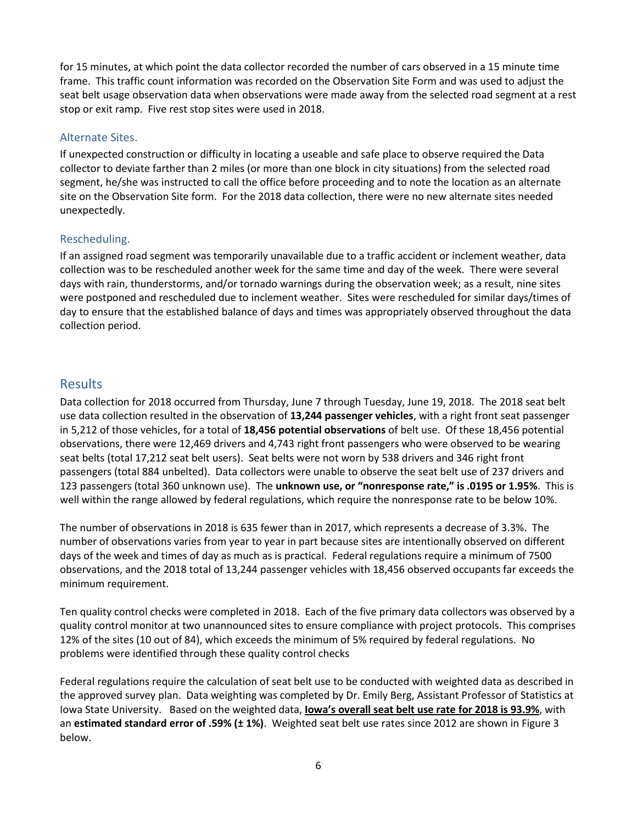for 15 minutes, at which point the data collector recorded the number of cars observed in a 15 minute time frame. This traffic count information was recorded on the Observation Site Form and was used to adjust the seat belt usage observation data when observations were made away from the selected road segment at a rest stop or exit ramp. Five rest stop sites were used in 2018.

# Alternate Sites.

If unexpected construction or difficulty in locating a useable and safe place to observe required the Data collector to deviate farther than 2 miles (or more than one block in city situations) from the selected road segment, he/she was instructed to call the office before proceeding and to note the location as an alternate site on the Observation Site form. For the 2018 data collection, there were no new alternate sites needed unexpectedly.

# Rescheduling.

If an assigned road segment was temporarily unavailable due to a traffic accident or inclement weather, data collection was to be rescheduled another week for the same time and day of the week. There were several days with rain, thunderstorms, and/or tornado warnings during the observation week; as a result, nine sites were postponed and rescheduled due to inclement weather. Sites were rescheduled for similar days/times of day to ensure that the established balance of days and times was appropriately observed throughout the data collection period.

# Results

Data collection for 2018 occurred from Thursday, June 7 through Tuesday, June 19, 2018. The 2018 seat belt use data collection resulted in the observation of **13,244 passenger vehicles**, with a right front seat passenger in 5,212 of those vehicles, for a total of **18,456 potential observations** of belt use. Of these 18,456 potential observations, there were 12,469 drivers and 4,743 right front passengers who were observed to be wearing seat belts (total 17,212 seat belt users). Seat belts were not worn by 538 drivers and 346 right front passengers (total 884 unbelted). Data collectors were unable to observe the seat belt use of 237 drivers and 123 passengers (total 360 unknown use). The **unknown use, or "nonresponse rate," is .0195 or 1.95%**. This is well within the range allowed by federal regulations, which require the nonresponse rate to be below 10%.

The number of observations in 2018 is 635 fewer than in 2017, which represents a decrease of 3.3%. The number of observations varies from year to year in part because sites are intentionally observed on different days of the week and times of day as much as is practical. Federal regulations require a minimum of 7500 observations, and the 2018 total of 13,244 passenger vehicles with 18,456 observed occupants far exceeds the minimum requirement.

Ten quality control checks were completed in 2018. Each of the five primary data collectors was observed by a quality control monitor at two unannounced sites to ensure compliance with project protocols. This comprises 12% of the sites (10 out of 84), which exceeds the minimum of 5% required by federal regulations. No problems were identified through these quality control checks

Federal regulations require the calculation of seat belt use to be conducted with weighted data as described in the approved survey plan. Data weighting was completed by Dr. Emily Berg, Assistant Professor of Statistics at Iowa State University. Based on the weighted data, **Iowa's overall seat belt use rate for 2018 is 93.9%**, with an **estimated standard error of .59% (± 1%)**. Weighted seat belt use rates since 2012 are shown in Figure 3 below.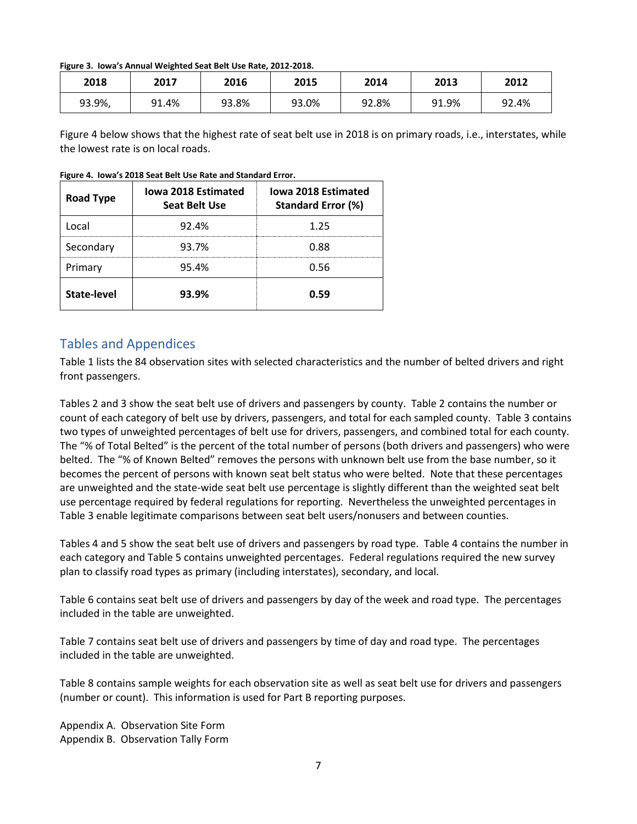### **Figure 3. Iowa's Annual Weighted Seat Belt Use Rate, 2012-2018.**

| 2018   | 2017  | 2016  | 2015  | 2014  | 2013  | 2012  |
|--------|-------|-------|-------|-------|-------|-------|
| 93.9%, | 91.4% | 93.8% | 93.0% | 92.8% | 91.9% | 92.4% |

Figure 4 below shows that the highest rate of seat belt use in 2018 is on primary roads, i.e., interstates, while the lowest rate is on local roads.

| <b>Road Type</b>   | <b>Iowa 2018 Estimated</b><br><b>Seat Belt Use</b> | <b>Iowa 2018 Estimated</b><br><b>Standard Error (%)</b> |
|--------------------|----------------------------------------------------|---------------------------------------------------------|
| l ocal             | 92.4%                                              | 1.25                                                    |
| Secondary          | 93.7%                                              | 0.88                                                    |
| Primary            | 95.4%                                              | 0.56                                                    |
| <b>State-level</b> | 93.9%                                              | N.59                                                    |

**Figure 4. Iowa's 2018 Seat Belt Use Rate and Standard Error.**

# Tables and Appendices

Table 1 lists the 84 observation sites with selected characteristics and the number of belted drivers and right front passengers.

Tables 2 and 3 show the seat belt use of drivers and passengers by county. Table 2 contains the number or count of each category of belt use by drivers, passengers, and total for each sampled county. Table 3 contains two types of unweighted percentages of belt use for drivers, passengers, and combined total for each county. The "% of Total Belted" is the percent of the total number of persons (both drivers and passengers) who were belted. The "% of Known Belted" removes the persons with unknown belt use from the base number, so it becomes the percent of persons with known seat belt status who were belted. Note that these percentages are unweighted and the state-wide seat belt use percentage is slightly different than the weighted seat belt use percentage required by federal regulations for reporting. Nevertheless the unweighted percentages in Table 3 enable legitimate comparisons between seat belt users/nonusers and between counties.

Tables 4 and 5 show the seat belt use of drivers and passengers by road type. Table 4 contains the number in each category and Table 5 contains unweighted percentages. Federal regulations required the new survey plan to classify road types as primary (including interstates), secondary, and local.

Table 6 contains seat belt use of drivers and passengers by day of the week and road type. The percentages included in the table are unweighted.

Table 7 contains seat belt use of drivers and passengers by time of day and road type. The percentages included in the table are unweighted.

Table 8 contains sample weights for each observation site as well as seat belt use for drivers and passengers (number or count). This information is used for Part B reporting purposes.

Appendix A. Observation Site Form Appendix B. Observation Tally Form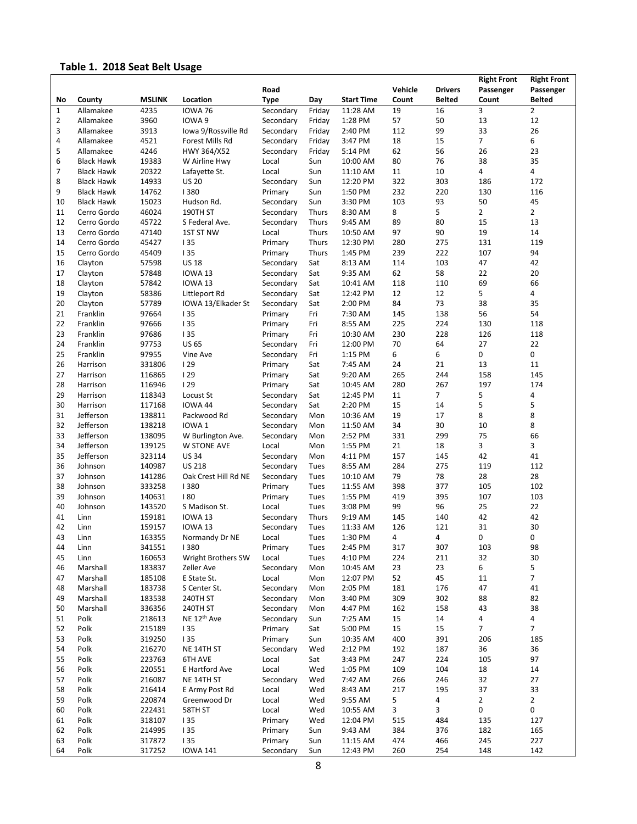# **Table 1. 2018 Seat Belt Usage**

|                |                   |                  |                         |                    |              |                   |           |                | <b>Right Front</b> | <b>Right Front</b> |
|----------------|-------------------|------------------|-------------------------|--------------------|--------------|-------------------|-----------|----------------|--------------------|--------------------|
|                |                   |                  |                         | Road               |              |                   | Vehicle   | <b>Drivers</b> | Passenger          | Passenger          |
| No             | County            | <b>MSLINK</b>    | Location                | <b>Type</b>        | Day          | <b>Start Time</b> | Count     | <b>Belted</b>  | Count              | <b>Belted</b>      |
| $\mathbf{1}$   | Allamakee         | 4235             | <b>IOWA 76</b>          | Secondary          | Friday       | 11:28 AM          | 19        | 16             | 3                  | $\overline{2}$     |
| $\overline{2}$ | Allamakee         | 3960             | IOWA 9                  | Secondary          | Friday       | 1:28 PM           | 57        | 50             | 13                 | 12                 |
| 3              | Allamakee         | 3913             | Iowa 9/Rossville Rd     | Secondary          | Friday       | 2:40 PM           | 112       | 99             | 33                 | 26                 |
| 4              | Allamakee         | 4521             | Forest Mills Rd         | Secondary          | Friday       | 3:47 PM           | 18        | 15             | $\overline{7}$     | 6                  |
| 5              | Allamakee         | 4246             | HWY 364/X52             | Secondary          | Friday       | 5:14 PM           | 62        | 56             | 26                 | 23                 |
| 6              | <b>Black Hawk</b> | 19383            | W Airline Hwy           | Local              | Sun          | 10:00 AM          | 80        | 76             | 38                 | 35                 |
| 7              | <b>Black Hawk</b> | 20322            | Lafayette St.           | Local              | Sun          | 11:10 AM          | 11        | 10             | 4                  | 4                  |
| 8              | <b>Black Hawk</b> | 14933            | <b>US 20</b>            | Secondary          | Sun          | 12:20 PM          | 322       | 303            | 186                | 172                |
| 9              | <b>Black Hawk</b> | 14762            | 1380                    | Primary            | Sun          | 1:50 PM           | 232       | 220            | 130                | 116                |
| 10             | <b>Black Hawk</b> | 15023            | Hudson Rd.              | Secondary          | Sun          | 3:30 PM           | 103       | 93             | 50                 | 45                 |
| 11             | Cerro Gordo       | 46024            | 190TH ST                | Secondary          | Thurs        | 8:30 AM           | 8         | 5              | $\overline{2}$     | $\overline{2}$     |
| 12             | Cerro Gordo       | 45722            | S Federal Ave.          | Secondary          | Thurs        | 9:45 AM           | 89        | 80             | 15                 | 13                 |
| 13             | Cerro Gordo       | 47140            | 1ST ST NW               | Local              | Thurs        | 10:50 AM          | 97        | 90             | 19                 | 14                 |
| 14             | Cerro Gordo       | 45427            | 135                     | Primary            | Thurs        | 12:30 PM          | 280       | 275            | 131                | 119                |
| 15             | Cerro Gordo       | 45409            | 135                     | Primary            | Thurs        | 1:45 PM           | 239       | 222            | 107                | 94                 |
| 16             | Clayton           | 57598            | <b>US 18</b>            | Secondary          | Sat          | 8:13 AM           | 114       | 103            | 47                 | 42                 |
| 17             | Clayton           | 57848            | <b>IOWA 13</b>          | Secondary          | Sat          | 9:35 AM           | 62        | 58             | 22                 | 20                 |
| 18             | Clayton           | 57842            | <b>IOWA 13</b>          | Secondary          | Sat          | 10:41 AM          | 118       | 110            | 69                 | 66                 |
| 19             | Clayton           | 58386            | Littleport Rd           | Secondary          | Sat          | 12:42 PM          | 12        | 12             | 5                  | 4                  |
| 20             | Clayton           | 57789            | IOWA 13/Elkader St      | Secondary          | Sat          | 2:00 PM           | 84        | 73             | 38                 | 35                 |
| 21             | Franklin          | 97664            | 135                     | Primary            | Fri          | 7:30 AM           | 145       | 138            | 56                 | 54                 |
| 22             | Franklin          | 97666            | 135                     | Primary            | Fri          | 8:55 AM           | 225       | 224            | 130                | 118                |
| 23             | Franklin          | 97686            | 135                     | Primary            | Fri          | 10:30 AM          | 230       | 228            | 126                | 118                |
| 24             | Franklin          | 97753            | <b>US 65</b>            | Secondary          | Fri          | 12:00 PM          | 70        | 64             | 27                 | 22                 |
| 25             | Franklin          | 97955            | Vine Ave                |                    | Fri          | 1:15 PM           | 6         | 6              | 0                  | 0                  |
|                |                   |                  |                         | Secondary          |              |                   |           |                | 13                 |                    |
| 26<br>27       | Harrison          | 331806<br>116865 | 129<br>129              | Primary<br>Primary | Sat          | 7:45 AM           | 24<br>265 | 21<br>244      | 158                | 11<br>145          |
|                | Harrison          |                  |                         |                    | Sat          | 9:20 AM           |           |                |                    |                    |
| 28             | Harrison          | 116946           | 129                     | Primary            | Sat          | 10:45 AM          | 280       | 267            | 197                | 174                |
| 29             | Harrison          | 118343           | Locust St               | Secondary          | Sat          | 12:45 PM          | 11        | $\overline{7}$ | 5                  | 4                  |
| 30             | Harrison          | 117168           | IOWA 44                 | Secondary          | Sat          | 2:20 PM           | 15        | 14             | 5                  | 5                  |
| 31             | Jefferson         | 138811           | Packwood Rd             | Secondary          | Mon          | 10:36 AM          | 19        | 17             | 8                  | 8                  |
| 32             | Jefferson         | 138218           | IOWA <sub>1</sub>       | Secondary          | Mon          | 11:50 AM          | 34        | 30             | 10                 | 8                  |
| 33             | Jefferson         | 138095           | W Burlington Ave.       | Secondary          | Mon          | 2:52 PM           | 331       | 299            | 75                 | 66                 |
| 34             | Jefferson         | 139125           | <b>W STONE AVE</b>      | Local              | Mon          | 1:55 PM           | 21        | 18             | 3                  | 3                  |
| 35             | Jefferson         | 323114           | <b>US 34</b>            | Secondary          | Mon          | 4:11 PM           | 157       | 145            | 42                 | 41                 |
| 36             | Johnson           | 140987           | <b>US 218</b>           | Secondary          | Tues         | 8:55 AM           | 284       | 275            | 119                | 112                |
| 37             | Johnson           | 141286           | Oak Crest Hill Rd NE    | Secondary          | Tues         | 10:10 AM          | 79        | 78             | 28                 | 28                 |
| 38             | Johnson           | 333258           | 1380                    | Primary            | Tues         | 11:55 AM          | 398       | 377            | 105                | 102                |
| 39             | Johnson           | 140631           | 180                     | Primary            | Tues         | 1:55 PM           | 419       | 395            | 107                | 103                |
| 40             | Johnson           | 143520           | S Madison St.           | Local              | Tues         | 3:08 PM           | 99        | 96             | 25                 | 22                 |
| 41             | Linn              | 159181           | <b>IOWA 13</b>          | Secondary          | <b>Thurs</b> | 9:19 AM           | 145       | 140            | 42                 | 42                 |
| 42             | Linn              | 159157           | <b>IOWA 13</b>          | Secondary          | Tues         | 11:33 AM          | 126       | 121            | 31                 | 30                 |
| 43             | Linn              | 163355           | Normandy Dr NE          | Local              | Tues         | 1:30 PM           | 4         | 4              | $\mathbf 0$        | 0                  |
| 44             | Linn              | 341551           | 1380                    | Primary            | Tues         | 2:45 PM           | 317       | 307            | 103                | 98                 |
| 45             | Linn              | 160653           | Wright Brothers SW      | Local              | Tues         | 4:10 PM           | 224       | 211            | 32                 | 30                 |
| 46             | Marshall          | 183837           | Zeller Ave              | Secondary          | Mon          | 10:45 AM          | 23        | 23             | 6                  | 5                  |
| 47             | Marshall          | 185108           | E State St.             | Local              | Mon          | 12:07 PM          | 52        | 45             | 11                 | $\overline{7}$     |
| 48             | Marshall          | 183738           | S Center St.            | Secondary          | Mon          | 2:05 PM           | 181       | 176            | 47                 | 41                 |
| 49             | Marshall          | 183538           | 240TH ST                | Secondary          | Mon          | 3:40 PM           | 309       | 302            | 88                 | 82                 |
| 50             | Marshall          | 336356           | 240TH ST                | Secondary          | Mon          | 4:47 PM           | 162       | 158            | 43                 | 38                 |
| 51             | Polk              | 218613           | NE 12 <sup>th</sup> Ave | Secondary          | Sun          | 7:25 AM           | 15        | 14             | 4                  | 4                  |
| 52             | Polk              | 215189           | 135                     | Primary            | Sat          | 5:00 PM           | 15        | 15             | $\overline{7}$     | $\overline{7}$     |
| 53             | Polk              | 319250           | 135                     | Primary            | Sun          | 10:35 AM          | 400       | 391            | 206                | 185                |
| 54             | Polk              | 216270           | NE 14TH ST              | Secondary          | Wed          | 2:12 PM           | 192       | 187            | 36                 | 36                 |
| 55             | Polk              | 223763           | 6TH AVE                 | Local              | Sat          | 3:43 PM           | 247       | 224            | 105                | 97                 |
| 56             | Polk              | 220551           | E Hartford Ave          | Local              | Wed          | 1:05 PM           | 109       | 104            | 18                 | 14                 |
| 57             | Polk              | 216087           | NE 14TH ST              | Secondary          | Wed          | 7:42 AM           | 266       | 246            | 32                 | 27                 |
| 58             | Polk              | 216414           | E Army Post Rd          | Local              | Wed          | 8:43 AM           | 217       | 195            | 37                 | 33                 |
| 59             | Polk              | 220874           | Greenwood Dr            | Local              | Wed          | 9:55 AM           | 5         | 4              | $\overline{2}$     | 2                  |
| 60             | Polk              | 222431           | 58TH ST                 | Local              | Wed          | 10:55 AM          | 3         | 3              | 0                  | 0                  |
| 61             | Polk              | 318107           | 135                     | Primary            | Wed          | 12:04 PM          | 515       | 484            | 135                | 127                |
| 62             | Polk              | 214995           | 135                     | Primary            | Sun          | 9:43 AM           | 384       | 376            | 182                | 165                |
| 63             | Polk              | 317872           | 135                     | Primary            | Sun          | 11:15 AM          | 474       | 466            | 245                | 227                |
| 64             | Polk              | 317252           | <b>IOWA 141</b>         | Secondary          | Sun          | 12:43 PM          | 260       | 254            | 148                | 142                |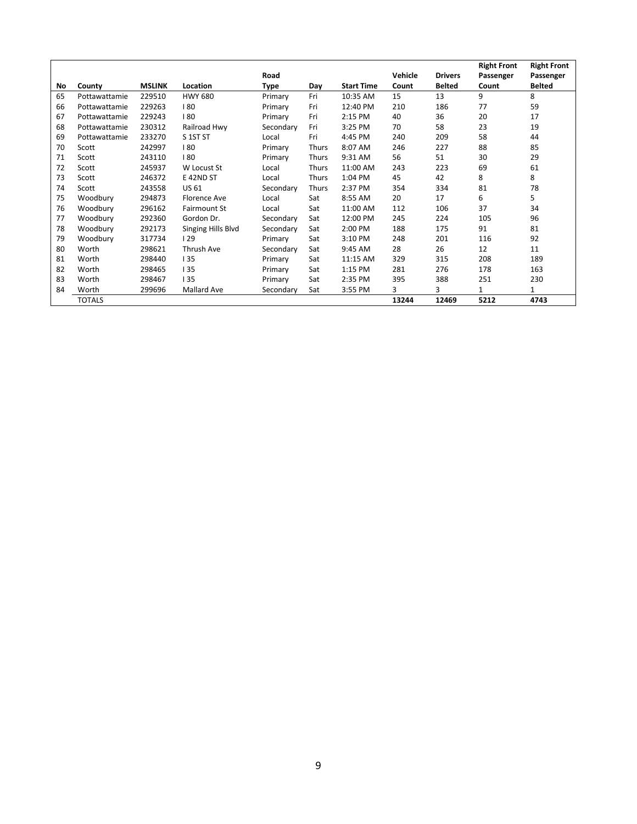|    |               |               |                     |           |              |                   |         |                | <b>Right Front</b> | <b>Right Front</b> |
|----|---------------|---------------|---------------------|-----------|--------------|-------------------|---------|----------------|--------------------|--------------------|
|    |               |               |                     | Road      |              |                   | Vehicle | <b>Drivers</b> | Passenger          | Passenger          |
| No | County        | <b>MSLINK</b> | Location            | Type      | Day          | <b>Start Time</b> | Count   | <b>Belted</b>  | Count              | <b>Belted</b>      |
| 65 | Pottawattamie | 229510        | <b>HWY 680</b>      | Primary   | Fri          | 10:35 AM          | 15      | 13             | 9                  | 8                  |
| 66 | Pottawattamie | 229263        | 180                 | Primary   | Fri          | 12:40 PM          | 210     | 186            | 77                 | 59                 |
| 67 | Pottawattamie | 229243        | 180                 | Primary   | Fri          | 2:15 PM           | 40      | 36             | 20                 | 17                 |
| 68 | Pottawattamie | 230312        | Railroad Hwy        | Secondary | Fri          | 3:25 PM           | 70      | 58             | 23                 | 19                 |
| 69 | Pottawattamie | 233270        | S 1ST ST            | Local     | Fri          | 4:45 PM           | 240     | 209            | 58                 | 44                 |
| 70 | Scott         | 242997        | 180                 | Primary   | <b>Thurs</b> | 8:07 AM           | 246     | 227            | 88                 | 85                 |
| 71 | Scott         | 243110        | 180                 | Primary   | Thurs        | 9:31 AM           | 56      | 51             | 30                 | 29                 |
| 72 | Scott         | 245937        | W Locust St         | Local     | Thurs        | 11:00 AM          | 243     | 223            | 69                 | 61                 |
| 73 | Scott         | 246372        | E 42ND ST           | Local     | <b>Thurs</b> | 1:04 PM           | 45      | 42             | 8                  | 8                  |
| 74 | Scott         | 243558        | US 61               | Secondary | Thurs        | 2:37 PM           | 354     | 334            | 81                 | 78                 |
| 75 | Woodbury      | 294873        | Florence Ave        | Local     | Sat          | 8:55 AM           | 20      | 17             | 6                  | 5                  |
| 76 | Woodbury      | 296162        | <b>Fairmount St</b> | Local     | Sat          | 11:00 AM          | 112     | 106            | 37                 | 34                 |
| 77 | Woodbury      | 292360        | Gordon Dr.          | Secondary | Sat          | 12:00 PM          | 245     | 224            | 105                | 96                 |
| 78 | Woodbury      | 292173        | Singing Hills Blvd  | Secondary | Sat          | 2:00 PM           | 188     | 175            | 91                 | 81                 |
| 79 | Woodbury      | 317734        | 129                 | Primary   | Sat          | 3:10 PM           | 248     | 201            | 116                | 92                 |
| 80 | Worth         | 298621        | Thrush Ave          | Secondary | Sat          | 9:45 AM           | 28      | 26             | 12                 | 11                 |
| 81 | Worth         | 298440        | 135                 | Primary   | Sat          | 11:15 AM          | 329     | 315            | 208                | 189                |
| 82 | Worth         | 298465        | 135                 | Primary   | Sat          | 1:15 PM           | 281     | 276            | 178                | 163                |
| 83 | Worth         | 298467        | 135                 | Primary   | Sat          | 2:35 PM           | 395     | 388            | 251                | 230                |
| 84 | Worth         | 299696        | Mallard Ave         | Secondary | Sat          | 3:55 PM           | 3       | 3              | $\mathbf{1}$       | 1                  |
|    | <b>TOTALS</b> |               |                     |           |              |                   | 13244   | 12469          | 5212               | 4743               |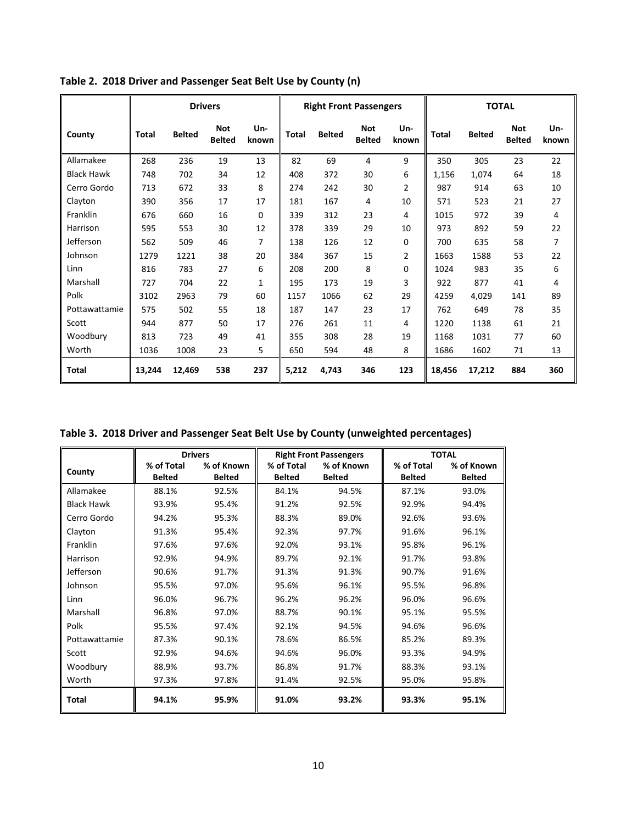|                   |              |               | <b>Drivers</b>              |              |              |               | <b>Right Front Passengers</b> |              |              |               | <b>TOTAL</b>                |              |
|-------------------|--------------|---------------|-----------------------------|--------------|--------------|---------------|-------------------------------|--------------|--------------|---------------|-----------------------------|--------------|
| County            | <b>Total</b> | <b>Belted</b> | <b>Not</b><br><b>Belted</b> | Un-<br>known | <b>Total</b> | <b>Belted</b> | <b>Not</b><br><b>Belted</b>   | Un-<br>known | <b>Total</b> | <b>Belted</b> | <b>Not</b><br><b>Belted</b> | Un-<br>known |
| Allamakee         | 268          | 236           | 19                          | 13           | 82           | 69            | 4                             | 9            | 350          | 305           | 23                          | 22           |
| <b>Black Hawk</b> | 748          | 702           | 34                          | 12           | 408          | 372           | 30                            | 6            | 1,156        | 1,074         | 64                          | 18           |
| Cerro Gordo       | 713          | 672           | 33                          | 8            | 274          | 242           | 30                            | 2            | 987          | 914           | 63                          | 10           |
| Clayton           | 390          | 356           | 17                          | 17           | 181          | 167           | 4                             | 10           | 571          | 523           | 21                          | 27           |
| Franklin          | 676          | 660           | 16                          | 0            | 339          | 312           | 23                            | 4            | 1015         | 972           | 39                          | 4            |
| Harrison          | 595          | 553           | 30                          | 12           | 378          | 339           | 29                            | 10           | 973          | 892           | 59                          | 22           |
| Jefferson         | 562          | 509           | 46                          | 7            | 138          | 126           | 12                            | 0            | 700          | 635           | 58                          | 7            |
| Johnson           | 1279         | 1221          | 38                          | 20           | 384          | 367           | 15                            | 2            | 1663         | 1588          | 53                          | 22           |
| Linn              | 816          | 783           | 27                          | 6            | 208          | 200           | 8                             | 0            | 1024         | 983           | 35                          | 6            |
| Marshall          | 727          | 704           | 22                          | $\mathbf{1}$ | 195          | 173           | 19                            | 3            | 922          | 877           | 41                          | 4            |
| Polk              | 3102         | 2963          | 79                          | 60           | 1157         | 1066          | 62                            | 29           | 4259         | 4.029         | 141                         | 89           |
| Pottawattamie     | 575          | 502           | 55                          | 18           | 187          | 147           | 23                            | 17           | 762          | 649           | 78                          | 35           |
| Scott             | 944          | 877           | 50                          | 17           | 276          | 261           | 11                            | 4            | 1220         | 1138          | 61                          | 21           |
| Woodbury          | 813          | 723           | 49                          | 41           | 355          | 308           | 28                            | 19           | 1168         | 1031          | 77                          | 60           |
| Worth             | 1036         | 1008          | 23                          | 5            | 650          | 594           | 48                            | 8            | 1686         | 1602          | 71                          | 13           |
| Total             | 13,244       | 12,469        | 538                         | 237          | 5,212        | 4,743         | 346                           | 123          | 18,456       | 17,212        | 884                         | 360          |

**Table 2. 2018 Driver and Passenger Seat Belt Use by County (n)**

**Table 3. 2018 Driver and Passenger Seat Belt Use by County (unweighted percentages)**

|                   |               | <b>Drivers</b> |               | <b>Right Front Passengers</b> |               | <b>TOTAL</b>  |
|-------------------|---------------|----------------|---------------|-------------------------------|---------------|---------------|
| County            | % of Total    | % of Known     | % of Total    | % of Known                    | % of Total    | % of Known    |
|                   | <b>Belted</b> | <b>Belted</b>  | <b>Belted</b> | <b>Belted</b>                 | <b>Belted</b> | <b>Belted</b> |
| Allamakee         | 88.1%         | 92.5%          | 84.1%         | 94.5%                         | 87.1%         | 93.0%         |
| <b>Black Hawk</b> | 93.9%         | 95.4%          | 91.2%         | 92.5%                         | 92.9%         | 94.4%         |
| Cerro Gordo       | 94.2%         | 95.3%          | 88.3%         | 89.0%                         | 92.6%         | 93.6%         |
| Clayton           | 91.3%         | 95.4%          | 92.3%         | 97.7%                         | 91.6%         | 96.1%         |
| Franklin          | 97.6%         | 97.6%          | 92.0%         | 93.1%                         | 95.8%         | 96.1%         |
| Harrison          | 92.9%         | 94.9%          | 89.7%         | 92.1%                         | 91.7%         | 93.8%         |
| Jefferson         | 90.6%         | 91.7%          | 91.3%         | 91.3%                         | 90.7%         | 91.6%         |
| Johnson           | 95.5%         | 97.0%          | 95.6%         | 96.1%                         | 95.5%         | 96.8%         |
| Linn              | 96.0%         | 96.7%          | 96.2%         | 96.2%                         | 96.0%         | 96.6%         |
| Marshall          | 96.8%         | 97.0%          | 88.7%         | 90.1%                         | 95.1%         | 95.5%         |
| Polk              | 95.5%         | 97.4%          | 92.1%         | 94.5%                         | 94.6%         | 96.6%         |
| Pottawattamie     | 87.3%         | 90.1%          | 78.6%         | 86.5%                         | 85.2%         | 89.3%         |
| Scott             | 92.9%         | 94.6%          | 94.6%         | 96.0%                         | 93.3%         | 94.9%         |
| Woodbury          | 88.9%         | 93.7%          | 86.8%         | 91.7%                         | 88.3%         | 93.1%         |
| Worth             | 97.3%         | 97.8%          | 91.4%         | 92.5%                         | 95.0%         | 95.8%         |
| Total             | 94.1%         | 95.9%          | 91.0%         | 93.2%                         | 93.3%         | 95.1%         |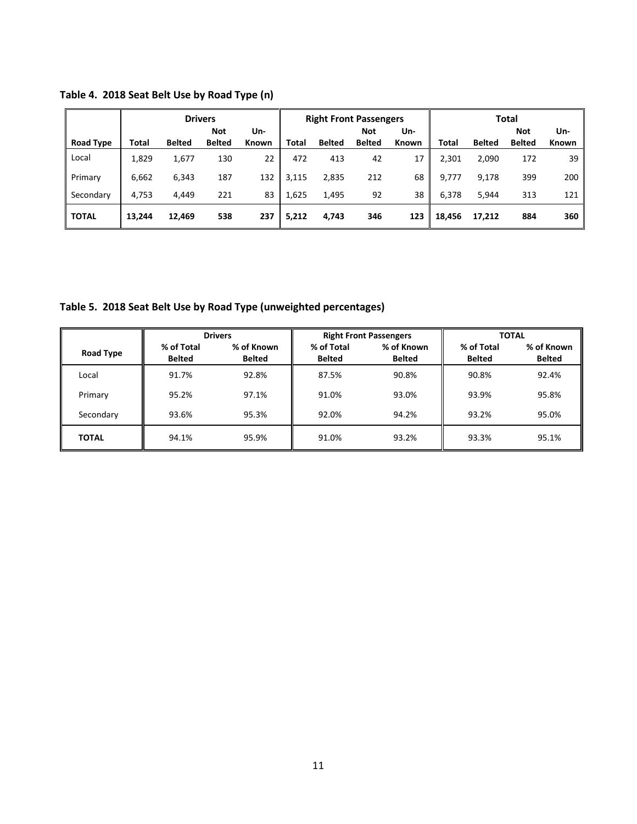|                  | <b>Drivers</b> |               |                             |              | <b>Right Front Passengers</b> |               |                             |              | Total  |               |                      |              |
|------------------|----------------|---------------|-----------------------------|--------------|-------------------------------|---------------|-----------------------------|--------------|--------|---------------|----------------------|--------------|
| <b>Road Type</b> | Total          | <b>Belted</b> | <b>Not</b><br><b>Belted</b> | Un-<br>Known | Total                         | <b>Belted</b> | <b>Not</b><br><b>Belted</b> | Un-<br>Known | Total  | <b>Belted</b> | Not<br><b>Belted</b> | Un-<br>Known |
| Local            | 1,829          | 1,677         | 130                         | 22           | 472                           | 413           | 42                          | 17           | 2,301  | 2,090         | 172                  | 39           |
| Primary          | 6,662          | 6,343         | 187                         | 132          | 3,115                         | 2,835         | 212                         | 68           | 9,777  | 9,178         | 399                  | 200          |
| Secondary        | 4,753          | 4.449         | 221                         | 83           | 1.625                         | 1,495         | 92                          | 38           | 6,378  | 5,944         | 313                  | 121          |
| <b>TOTAL</b>     | 13,244         | 12,469        | 538                         | 237          | 5,212                         | 4,743         | 346                         | 123          | 18,456 | 17,212        | 884                  | 360          |

**Table 4. 2018 Seat Belt Use by Road Type (n)**

**Table 5. 2018 Seat Belt Use by Road Type (unweighted percentages)**

|                  | <b>Drivers</b>              |                      |                             | <b>Right Front Passengers</b> | <b>TOTAL</b>                |                             |  |
|------------------|-----------------------------|----------------------|-----------------------------|-------------------------------|-----------------------------|-----------------------------|--|
| <b>Road Type</b> | % of Total<br><b>Belted</b> | % of Known<br>Belted | % of Total<br><b>Belted</b> | % of Known<br><b>Belted</b>   | % of Total<br><b>Belted</b> | % of Known<br><b>Belted</b> |  |
| Local            | 91.7%                       | 92.8%                | 87.5%                       | 90.8%                         | 90.8%                       | 92.4%                       |  |
| Primary          | 95.2%                       | 97.1%                | 91.0%                       | 93.0%                         | 93.9%                       | 95.8%                       |  |
| Secondary        | 93.6%                       | 95.3%                | 92.0%                       | 94.2%                         | 93.2%                       | 95.0%                       |  |
| <b>TOTAL</b>     | 94.1%                       | 95.9%                | 91.0%                       | 93.2%                         | 93.3%                       | 95.1%                       |  |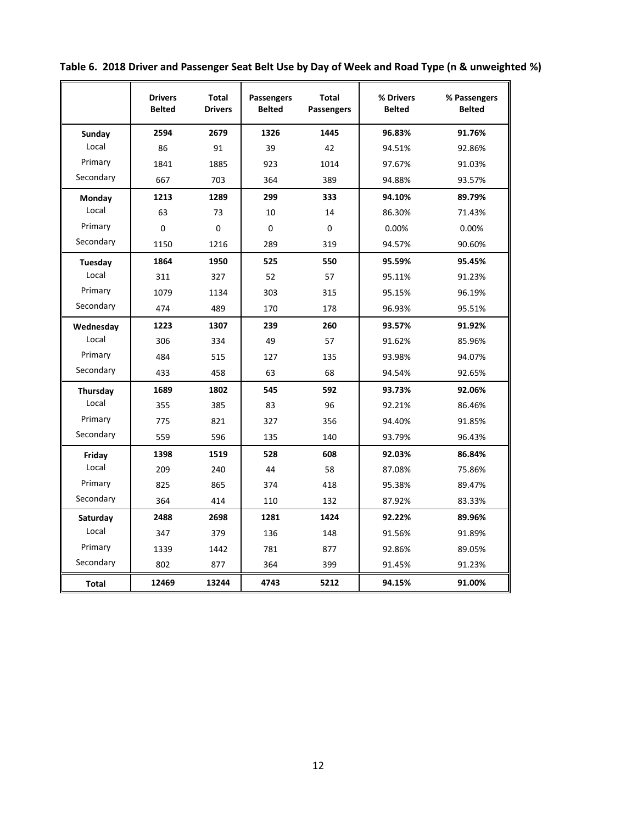|              | <b>Drivers</b><br><b>Belted</b> | <b>Total</b><br><b>Drivers</b> | Passengers<br><b>Belted</b> | <b>Total</b><br><b>Passengers</b> | % Drivers<br><b>Belted</b> | % Passengers<br><b>Belted</b> |
|--------------|---------------------------------|--------------------------------|-----------------------------|-----------------------------------|----------------------------|-------------------------------|
| Sunday       | 2594                            | 2679                           | 1326                        | 1445                              | 96.83%                     | 91.76%                        |
| Local        | 86                              | 91                             | 39                          | 42                                | 94.51%                     | 92.86%                        |
| Primary      | 1841                            | 1885                           | 923                         | 1014                              | 97.67%                     | 91.03%                        |
| Secondary    | 667                             | 703                            | 364                         | 389                               | 94.88%                     | 93.57%                        |
| Monday       | 1213                            | 1289                           | 299                         | 333                               | 94.10%                     | 89.79%                        |
| Local        | 63                              | 73                             | 10                          | 14                                | 86.30%                     | 71.43%                        |
| Primary      | $\mathbf 0$                     | $\Omega$                       | $\Omega$                    | 0                                 | 0.00%                      | 0.00%                         |
| Secondary    | 1150                            | 1216                           | 289                         | 319                               | 94.57%                     | 90.60%                        |
| Tuesday      | 1864                            | 1950                           | 525                         | 550                               | 95.59%                     | 95.45%                        |
| Local        | 311                             | 327                            | 52                          | 57                                | 95.11%                     | 91.23%                        |
| Primary      | 1079                            | 1134                           | 303                         | 315                               | 95.15%                     | 96.19%                        |
| Secondary    | 474                             | 489                            | 170                         | 178                               | 96.93%                     | 95.51%                        |
| Wednesday    | 1223                            | 1307                           | 239                         | 260                               | 93.57%                     | 91.92%                        |
| Local        | 306                             | 334                            | 49                          | 57                                | 91.62%                     | 85.96%                        |
| Primary      | 484                             | 515                            | 127                         | 135                               | 93.98%                     | 94.07%                        |
| Secondary    | 433                             | 458                            | 63                          | 68                                | 94.54%                     | 92.65%                        |
| Thursday     | 1689                            | 1802                           | 545                         | 592                               | 93.73%                     | 92.06%                        |
| Local        | 355                             | 385                            | 83                          | 96                                | 92.21%                     | 86.46%                        |
| Primary      | 775                             | 821                            | 327                         | 356                               | 94.40%                     | 91.85%                        |
| Secondary    | 559                             | 596                            | 135                         | 140                               | 93.79%                     | 96.43%                        |
| Friday       | 1398                            | 1519                           | 528                         | 608                               | 92.03%                     | 86.84%                        |
| Local        | 209                             | 240                            | 44                          | 58                                | 87.08%                     | 75.86%                        |
| Primary      | 825                             | 865                            | 374                         | 418                               | 95.38%                     | 89.47%                        |
| Secondary    | 364                             | 414                            | 110                         | 132                               | 87.92%                     | 83.33%                        |
| Saturday     | 2488                            | 2698                           | 1281                        | 1424                              | 92.22%                     | 89.96%                        |
| Local        | 347                             | 379                            | 136                         | 148                               | 91.56%                     | 91.89%                        |
| Primary      | 1339                            | 1442                           | 781                         | 877                               | 92.86%                     | 89.05%                        |
| Secondary    | 802                             | 877                            | 364                         | 399                               | 91.45%                     | 91.23%                        |
| <b>Total</b> | 12469                           | 13244                          | 4743                        | 5212                              | 94.15%                     | 91.00%                        |

**Table 6. 2018 Driver and Passenger Seat Belt Use by Day of Week and Road Type (n & unweighted %)**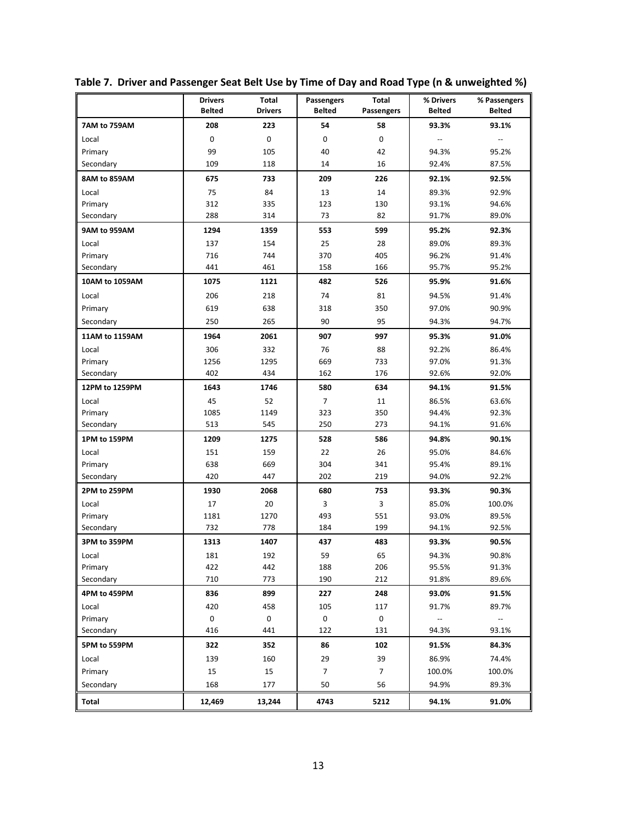|                | <b>Drivers</b><br><b>Belted</b> | Total<br><b>Drivers</b> | Passengers<br><b>Belted</b> | <b>Total</b><br>Passengers | % Drivers<br><b>Belted</b> | % Passengers<br><b>Belted</b> |
|----------------|---------------------------------|-------------------------|-----------------------------|----------------------------|----------------------------|-------------------------------|
| 7AM to 759AM   | 208                             | 223                     | 54                          | 58                         | 93.3%                      | 93.1%                         |
| Local          | $\mathbf 0$                     | $\mathbf 0$             | $\mathbf 0$                 | $\mathbf 0$                |                            |                               |
| Primary        | 99                              | 105                     | 40                          | 42                         | 94.3%                      | 95.2%                         |
| Secondary      | 109                             | 118                     | 14                          | 16                         | 92.4%                      | 87.5%                         |
| 8AM to 859AM   | 675                             | 733                     | 209                         | 226                        | 92.1%                      | 92.5%                         |
| Local          | 75                              | 84                      | 13                          | 14                         | 89.3%                      | 92.9%                         |
| Primary        | 312                             | 335                     | 123                         | 130                        | 93.1%                      | 94.6%                         |
| Secondary      | 288                             | 314                     | 73                          | 82                         | 91.7%                      | 89.0%                         |
| 9AM to 959AM   | 1294                            | 1359                    | 553                         | 599                        | 95.2%                      | 92.3%                         |
| Local          | 137                             | 154                     | 25                          | 28                         | 89.0%                      | 89.3%                         |
| Primary        | 716                             | 744                     | 370                         | 405                        | 96.2%                      | 91.4%                         |
| Secondary      | 441                             | 461                     | 158                         | 166                        | 95.7%                      | 95.2%                         |
| 10AM to 1059AM | 1075                            | 1121                    | 482                         | 526                        | 95.9%                      | 91.6%                         |
| Local          | 206                             | 218                     | 74                          | 81                         | 94.5%                      | 91.4%                         |
| Primary        | 619                             | 638                     | 318                         | 350                        | 97.0%                      | 90.9%                         |
| Secondary      | 250                             | 265                     | 90                          | 95                         | 94.3%                      | 94.7%                         |
| 11AM to 1159AM | 1964                            | 2061                    | 907                         | 997                        | 95.3%                      | 91.0%                         |
| Local          | 306                             | 332                     | 76                          | 88                         | 92.2%                      | 86.4%                         |
| Primary        | 1256                            | 1295                    | 669                         | 733                        | 97.0%                      | 91.3%                         |
| Secondary      | 402                             | 434                     | 162                         | 176                        | 92.6%                      | 92.0%                         |
| 12PM to 1259PM | 1643                            | 1746                    | 580                         | 634                        | 94.1%                      | 91.5%                         |
| Local          | 45                              | 52                      | $\overline{7}$              | 11                         | 86.5%                      | 63.6%                         |
| Primary        | 1085                            | 1149                    | 323                         | 350                        | 94.4%                      | 92.3%                         |
| Secondary      | 513                             | 545                     | 250                         | 273                        | 94.1%                      | 91.6%                         |
| 1PM to 159PM   | 1209                            | 1275                    | 528                         | 586                        | 94.8%                      | 90.1%                         |
| Local          | 151                             | 159                     | 22                          | 26                         | 95.0%                      | 84.6%                         |
| Primary        | 638                             | 669                     | 304                         | 341                        | 95.4%                      | 89.1%                         |
| Secondary      | 420                             | 447                     | 202                         | 219                        | 94.0%                      | 92.2%                         |
| 2PM to 259PM   | 1930                            | 2068                    | 680                         | 753                        | 93.3%                      | 90.3%                         |
| Local          | 17                              | 20                      | 3                           | 3                          | 85.0%                      | 100.0%                        |
| Primary        | 1181                            | 1270                    | 493                         | 551                        | 93.0%                      | 89.5%                         |
| Secondary      | 732                             | 778                     | 184                         | 199                        | 94.1%                      | 92.5%                         |
| 3PM to 359PM   | 1313                            | 1407                    | 437                         | 483                        | 93.3%                      | 90.5%                         |
| Local          | 181                             | 192                     | 59                          | 65                         | 94.3%                      | 90.8%                         |
| Primary        | 422                             | 442                     | 188                         | 206                        | 95.5%                      | 91.3%                         |
| Secondary      | 710                             | 773                     | 190                         | 212                        | 91.8%                      | 89.6%                         |
| 4PM to 459PM   | 836                             | 899                     | 227                         | 248                        | 93.0%                      | 91.5%                         |
| Local          | 420                             | 458                     | 105                         | 117                        | 91.7%                      | 89.7%                         |
| Primary        | 0                               | 0                       | $\pmb{0}$                   | $\mathsf 0$                |                            | $\overline{\phantom{a}}$      |
| Secondary      | 416                             | 441                     | 122                         | 131                        | 94.3%                      | 93.1%                         |
| 5PM to 559PM   | 322                             | 352                     | 86                          | 102                        | 91.5%                      | 84.3%                         |
| Local          | 139                             | 160                     | 29                          | 39                         | 86.9%                      | 74.4%                         |
| Primary        | 15                              | 15                      | $\overline{7}$              | $\overline{7}$             | 100.0%                     | 100.0%                        |
| Secondary      | 168                             | 177                     | 50                          | 56                         | 94.9%                      | 89.3%                         |
| Total          | 12,469                          | 13,244                  | 4743                        | 5212                       | 94.1%                      | 91.0%                         |

**Table 7. Driver and Passenger Seat Belt Use by Time of Day and Road Type (n & unweighted %)**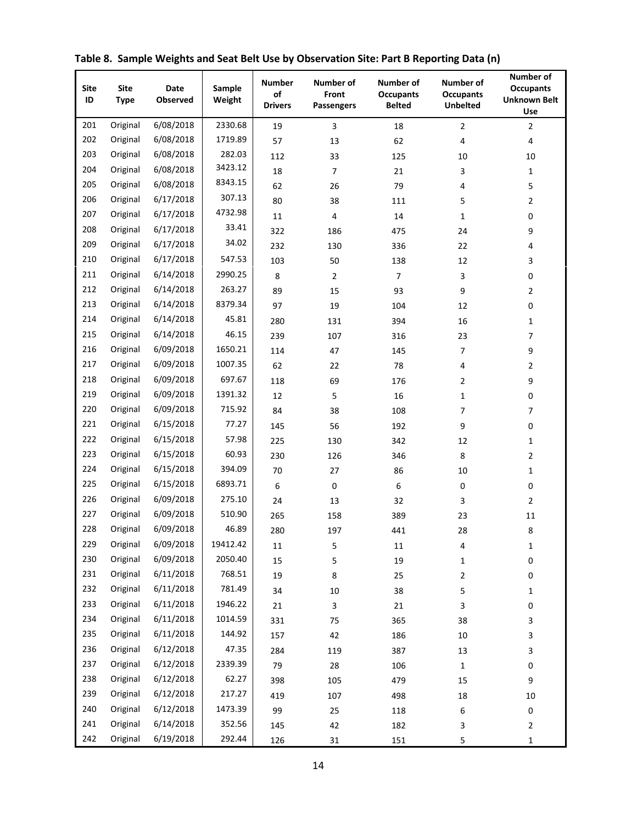| Site<br>ID | <b>Site</b><br><b>Type</b> | <b>Date</b><br>Observed | Sample<br>Weight | <b>Number</b><br>of<br><b>Drivers</b> | Number of<br>Front<br><b>Passengers</b> | Number of<br><b>Occupants</b><br><b>Belted</b> | Number of<br><b>Occupants</b><br><b>Unbelted</b> | <b>Number of</b><br><b>Occupants</b><br><b>Unknown Belt</b><br>Use |
|------------|----------------------------|-------------------------|------------------|---------------------------------------|-----------------------------------------|------------------------------------------------|--------------------------------------------------|--------------------------------------------------------------------|
| 201        | Original                   | 6/08/2018               | 2330.68          | 19                                    | 3                                       | 18                                             | $\overline{2}$                                   | $\overline{2}$                                                     |
| 202        | Original                   | 6/08/2018               | 1719.89          | 57                                    | 13                                      | 62                                             | $\sqrt{4}$                                       | 4                                                                  |
| 203        | Original                   | 6/08/2018               | 282.03           | 112                                   | 33                                      | 125                                            | 10                                               | 10                                                                 |
| 204        | Original                   | 6/08/2018               | 3423.12          | 18                                    | $\overline{7}$                          | 21                                             | 3                                                | $\mathbf{1}$                                                       |
| 205        | Original                   | 6/08/2018               | 8343.15          | 62                                    | 26                                      | 79                                             | 4                                                | 5                                                                  |
| 206        | Original                   | 6/17/2018               | 307.13           | 80                                    | 38                                      | 111                                            | 5                                                | $\overline{2}$                                                     |
| 207        | Original                   | 6/17/2018               | 4732.98          | 11                                    | 4                                       | 14                                             | 1                                                | 0                                                                  |
| 208        | Original                   | 6/17/2018               | 33.41            | 322                                   | 186                                     | 475                                            | 24                                               | 9                                                                  |
| 209        | Original                   | 6/17/2018               | 34.02            | 232                                   | 130                                     | 336                                            | 22                                               | 4                                                                  |
| 210        | Original                   | 6/17/2018               | 547.53           | 103                                   | 50                                      | 138                                            | 12                                               | 3                                                                  |
| 211        | Original                   | 6/14/2018               | 2990.25          | 8                                     | $\overline{2}$                          | $\overline{7}$                                 | 3                                                | 0                                                                  |
| 212        | Original                   | 6/14/2018               | 263.27           | 89                                    | 15                                      | 93                                             | 9                                                | $\overline{2}$                                                     |
| 213        | Original                   | 6/14/2018               | 8379.34          | 97                                    | 19                                      | 104                                            | 12                                               | 0                                                                  |
| 214        | Original                   | 6/14/2018               | 45.81            | 280                                   | 131                                     | 394                                            | 16                                               | $\mathbf{1}$                                                       |
| 215        | Original                   | 6/14/2018               | 46.15            | 239                                   | 107                                     | 316                                            | 23                                               | 7                                                                  |
| 216        | Original                   | 6/09/2018               | 1650.21          | 114                                   | 47                                      | 145                                            | 7                                                | 9                                                                  |
| 217        | Original                   | 6/09/2018               | 1007.35          | 62                                    | 22                                      | 78                                             | 4                                                | $\mathbf{2}$                                                       |
| 218        | Original                   | 6/09/2018               | 697.67           | 118                                   | 69                                      | 176                                            | 2                                                | 9                                                                  |
| 219        | Original                   | 6/09/2018               | 1391.32          | 12                                    | 5                                       | 16                                             | $\mathbf 1$                                      | 0                                                                  |
| 220        | Original                   | 6/09/2018               | 715.92           | 84                                    | 38                                      | 108                                            | 7                                                | 7                                                                  |
| 221        | Original                   | 6/15/2018               | 77.27            | 145                                   | 56                                      | 192                                            | 9                                                | 0                                                                  |
| 222        | Original                   | 6/15/2018               | 57.98            | 225                                   | 130                                     | 342                                            | 12                                               | $\mathbf{1}$                                                       |
| 223        | Original                   | 6/15/2018               | 60.93            | 230                                   | 126                                     | 346                                            | 8                                                | $\mathbf{2}$                                                       |
| 224        | Original                   | 6/15/2018               | 394.09           | 70                                    | 27                                      | 86                                             | 10                                               | $\mathbf{1}$                                                       |
| 225        | Original                   | 6/15/2018               | 6893.71          | 6                                     | 0                                       | 6                                              | 0                                                | 0                                                                  |
| 226        | Original                   | 6/09/2018               | 275.10           | 24                                    | 13                                      | 32                                             | 3                                                | $\overline{2}$                                                     |
| 227        | Original                   | 6/09/2018               | 510.90           | 265                                   | 158                                     | 389                                            | 23                                               | 11                                                                 |
| 228        | Original                   | 6/09/2018               | 46.89            | 280                                   | 197                                     | 441                                            | 28                                               | 8                                                                  |
| 229        | Original                   | 6/09/2018               | 19412.42         | $11\,$                                | 5                                       | $11\,$                                         | 4                                                | $\mathbf 1$                                                        |
| 230        | Original                   | 6/09/2018               | 2050.40          | 15                                    | 5                                       | 19                                             | 1                                                | 0                                                                  |
| 231        | Original                   | 6/11/2018               | 768.51           | 19                                    | 8                                       | 25                                             | 2                                                | 0                                                                  |
| 232        | Original                   | 6/11/2018               | 781.49           | 34                                    | 10                                      | 38                                             | 5                                                | 1                                                                  |
| 233        | Original                   | 6/11/2018               | 1946.22          | 21                                    | 3                                       | 21                                             | 3                                                | 0                                                                  |
| 234        | Original                   | 6/11/2018               | 1014.59          | 331                                   | 75                                      | 365                                            | 38                                               | 3                                                                  |
| 235        | Original                   | 6/11/2018               | 144.92           | 157                                   | 42                                      | 186                                            | $10\,$                                           | 3                                                                  |
| 236        | Original                   | 6/12/2018               | 47.35            | 284                                   | 119                                     | 387                                            | 13                                               | 3                                                                  |
| 237        | Original                   | 6/12/2018               | 2339.39          | 79                                    | 28                                      | 106                                            | $\mathbf{1}$                                     | 0                                                                  |
| 238        | Original                   | 6/12/2018               | 62.27            | 398                                   | 105                                     | 479                                            | 15                                               | 9                                                                  |
| 239        | Original                   | 6/12/2018               | 217.27           | 419                                   | 107                                     | 498                                            | 18                                               | 10                                                                 |
| 240        | Original                   | 6/12/2018               | 1473.39          | 99                                    | 25                                      | 118                                            | 6                                                | 0                                                                  |
| 241        | Original                   | 6/14/2018               | 352.56           | 145                                   | 42                                      | 182                                            | 3                                                | 2                                                                  |
| 242        | Original                   | 6/19/2018               | 292.44           | 126                                   | 31                                      | 151                                            | 5                                                | $\mathbf 1$                                                        |

**Table 8. Sample Weights and Seat Belt Use by Observation Site: Part B Reporting Data (n)**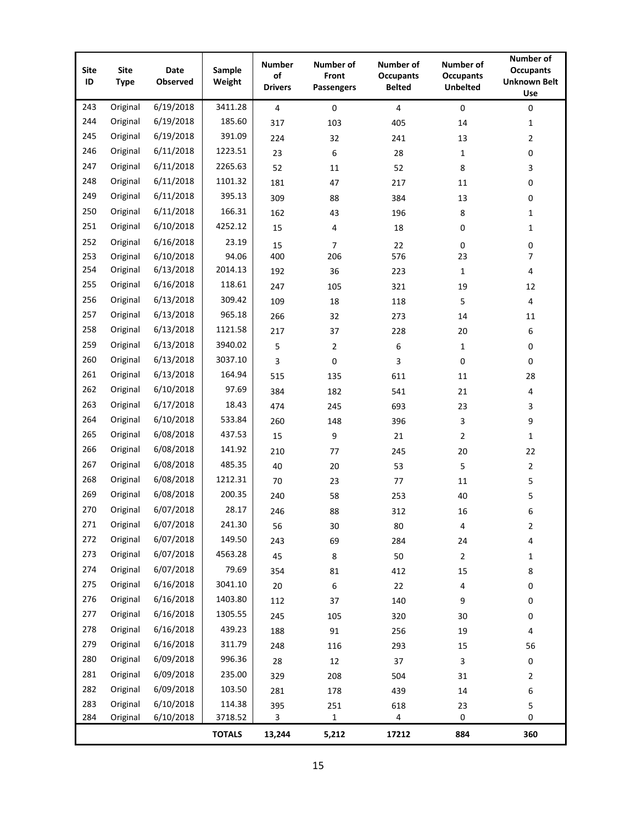| <b>Site</b><br>ID | <b>Site</b><br><b>Type</b> | <b>Date</b><br>Observed | Sample<br>Weight | <b>Number</b><br>of<br><b>Drivers</b> | Number of<br>Front<br><b>Passengers</b> | Number of<br><b>Occupants</b><br><b>Belted</b> | <b>Number of</b><br><b>Occupants</b><br><b>Unbelted</b> | Number of<br><b>Occupants</b><br><b>Unknown Belt</b><br>Use |  |  |
|-------------------|----------------------------|-------------------------|------------------|---------------------------------------|-----------------------------------------|------------------------------------------------|---------------------------------------------------------|-------------------------------------------------------------|--|--|
| 243               | Original                   | 6/19/2018               | 3411.28          | $\overline{\mathbf{4}}$               | $\mathbf 0$                             | $\overline{4}$                                 | $\mathbf 0$                                             | $\mathbf 0$                                                 |  |  |
| 244               | Original                   | 6/19/2018               | 185.60           | 317                                   | 103                                     | 405                                            | 14                                                      | 1                                                           |  |  |
| 245               | Original                   | 6/19/2018               | 391.09           | 224                                   | 32                                      | 241                                            | 13                                                      | $\overline{2}$                                              |  |  |
| 246               | Original                   | 6/11/2018               | 1223.51          | 23                                    | 6                                       | 28                                             | 1                                                       | 0                                                           |  |  |
| 247               | Original                   | 6/11/2018               | 2265.63          | 52                                    | 11                                      | 52                                             | 8                                                       | 3                                                           |  |  |
| 248               | Original                   | 6/11/2018               | 1101.32          | 181                                   | 47                                      | 217                                            | 11                                                      | 0                                                           |  |  |
| 249               | Original                   | 6/11/2018               | 395.13           | 309                                   | 88                                      | 384                                            | 13                                                      | 0                                                           |  |  |
| 250               | Original                   | 6/11/2018               | 166.31           | 162                                   | 43                                      | 196                                            | 8                                                       | $\mathbf{1}$                                                |  |  |
| 251               | Original                   | 6/10/2018               | 4252.12          | 15                                    | 4                                       | 18                                             | $\mathbf 0$                                             | 1                                                           |  |  |
| 252               | Original                   | 6/16/2018               | 23.19            | 15                                    | $\overline{7}$                          | 22                                             | $\mathbf 0$                                             | 0                                                           |  |  |
| 253               | Original                   | 6/10/2018               | 94.06            | 400                                   | 206                                     | 576                                            | 23                                                      | $\overline{7}$                                              |  |  |
| 254               | Original                   | 6/13/2018               | 2014.13          | 192                                   | 36                                      | 223                                            | $\mathbf{1}$                                            | 4                                                           |  |  |
| 255               | Original                   | 6/16/2018               | 118.61           | 247                                   | 105                                     | 321                                            | 19                                                      | 12                                                          |  |  |
| 256               | Original                   | 6/13/2018               | 309.42           | 109                                   | 18                                      | 118                                            | 5                                                       | 4                                                           |  |  |
| 257               | Original                   | 6/13/2018               | 965.18           | 266                                   | 32                                      | 273                                            | 14                                                      | 11                                                          |  |  |
| 258               | Original                   | 6/13/2018               | 1121.58          | 217                                   | 37                                      | 228                                            | 20                                                      | 6                                                           |  |  |
| 259               | Original                   | 6/13/2018               | 3940.02          | 5                                     | 2                                       | 6                                              | $\mathbf{1}$                                            | 0                                                           |  |  |
| 260               | Original                   | 6/13/2018               | 3037.10          | 3                                     | 0                                       | 3                                              | $\pmb{0}$                                               | $\mathbf 0$                                                 |  |  |
| 261               | Original                   | 6/13/2018               | 164.94           | 515                                   | 135                                     | 611                                            | 11                                                      | 28                                                          |  |  |
| 262               | Original                   | 6/10/2018               | 97.69            | 384                                   | 182                                     | 541                                            | 21                                                      | 4                                                           |  |  |
| 263               | Original                   | 6/17/2018               | 18.43            | 474                                   | 245                                     | 693                                            | 23                                                      | 3                                                           |  |  |
| 264               | Original                   | 6/10/2018               | 533.84           | 260                                   | 148                                     | 396                                            | 3                                                       | 9                                                           |  |  |
| 265               | Original                   | 6/08/2018               | 437.53           | 15                                    | 9                                       | 21                                             | $\overline{2}$                                          | $\mathbf{1}$                                                |  |  |
| 266               | Original                   | 6/08/2018               | 141.92           | 210                                   | 77                                      | 245                                            | 20                                                      | 22                                                          |  |  |
| 267               | Original                   | 6/08/2018               | 485.35           | 40                                    | 20                                      | 53                                             | 5                                                       | $\overline{2}$                                              |  |  |
| 268               | Original                   | 6/08/2018               | 1212.31          | 70                                    | 23                                      | 77                                             | 11                                                      | 5                                                           |  |  |
| 269               | Original                   | 6/08/2018               | 200.35           | 240                                   | 58                                      | 253                                            | 40                                                      | 5                                                           |  |  |
| 270               | Original                   | 6/07/2018               | 28.17            | 246                                   | 88                                      | 312                                            | 16                                                      | 6                                                           |  |  |
| 271               | Original                   | 6/07/2018               | 241.30           | 56                                    | $30\,$                                  | 80                                             | 4                                                       | 2                                                           |  |  |
| 272               | Original                   | 6/07/2018               | 149.50           | 243                                   | 69                                      | 284                                            | 24                                                      | 4                                                           |  |  |
| 273               | Original                   | 6/07/2018               | 4563.28          | 45                                    | 8                                       | 50                                             | $\mathbf 2$                                             | 1                                                           |  |  |
| 274               | Original                   | 6/07/2018               | 79.69            | 354                                   | 81                                      | 412                                            | 15                                                      | 8                                                           |  |  |
| 275               | Original                   | 6/16/2018               | 3041.10          | 20                                    | $\,6\,$                                 | 22                                             | 4                                                       | 0                                                           |  |  |
| 276               | Original                   | 6/16/2018               | 1403.80          | 112                                   | 37                                      | 140                                            | 9                                                       | 0                                                           |  |  |
| 277               | Original                   | 6/16/2018               | 1305.55          | 245                                   | 105                                     | 320                                            | 30                                                      | 0                                                           |  |  |
| 278               | Original                   | 6/16/2018               | 439.23           | 188                                   | 91                                      | 256                                            | 19                                                      | 4                                                           |  |  |
| 279               | Original                   | 6/16/2018               | 311.79           | 248                                   | 116                                     | 293                                            | 15                                                      | 56                                                          |  |  |
| 280               | Original                   | 6/09/2018               | 996.36           | 28                                    | 12                                      | 37                                             | 3                                                       | 0                                                           |  |  |
| 281               | Original                   | 6/09/2018               | 235.00           | 329                                   | 208                                     | 504                                            | 31                                                      | 2                                                           |  |  |
| 282               | Original                   | 6/09/2018               | 103.50           | 281                                   | 178                                     | 439                                            | 14                                                      | 6                                                           |  |  |
| 283               | Original                   | 6/10/2018               | 114.38           | 395                                   | 251                                     | 618                                            | 23                                                      | 5                                                           |  |  |
| 284               | Original                   | 6/10/2018               | 3718.52          | 3                                     | 1                                       | 4                                              | 0                                                       | 0                                                           |  |  |
|                   |                            |                         | <b>TOTALS</b>    | 13,244                                | 5,212                                   | 17212                                          | 884                                                     | 360                                                         |  |  |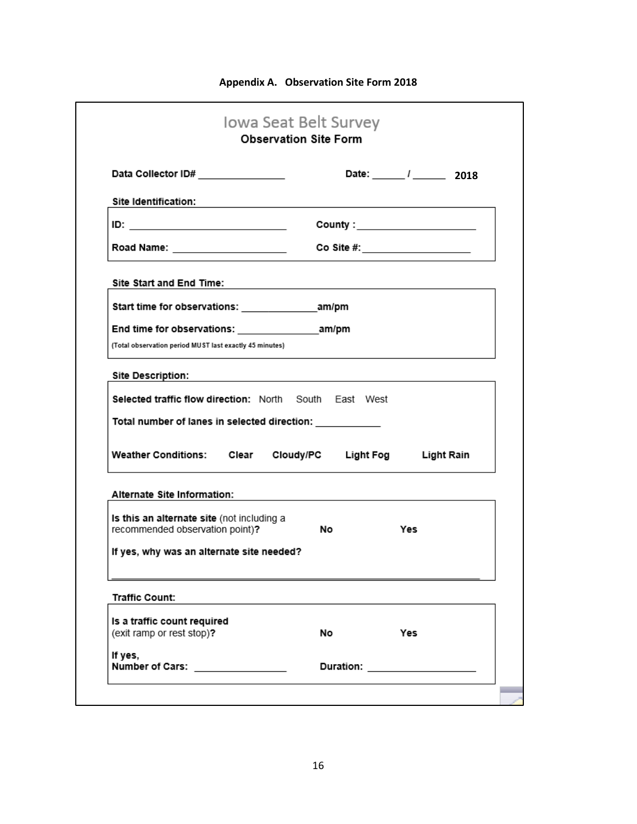|                                                                                           |     | Date: 1 2018                      |
|-------------------------------------------------------------------------------------------|-----|-----------------------------------|
|                                                                                           |     |                                   |
|                                                                                           |     | County : ______________________   |
|                                                                                           |     | Co Site #: $\qquad \qquad \qquad$ |
|                                                                                           |     |                                   |
|                                                                                           |     |                                   |
|                                                                                           |     |                                   |
|                                                                                           |     |                                   |
| the control of the control of the control of the control of the control of the control of |     |                                   |
| Selected traffic flow direction: North South East West                                    |     |                                   |
| Total number of lanes in selected direction:                                              |     |                                   |
|                                                                                           |     |                                   |
| Weather Conditions: Clear Cloudy/PC Light Fog Light Rain                                  |     |                                   |
|                                                                                           |     |                                   |
|                                                                                           |     |                                   |
|                                                                                           | Yes |                                   |
|                                                                                           |     |                                   |
|                                                                                           |     |                                   |
|                                                                                           |     |                                   |
|                                                                                           |     |                                   |
|                                                                                           |     |                                   |
|                                                                                           |     | Yes                               |